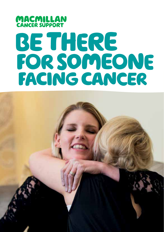

# BE THERE FOR SOMEONE FACING CANCER

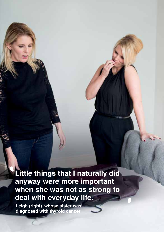**Little things that I naturally did anyway were more important when she was not as strong to deal with everyday life.**

**P** 

**Leigh (right), whose sister was diagnosed with thyroid cancer**

 $\bigcirc$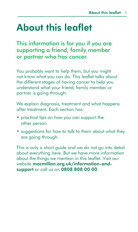# About this leaflet

# This information is for you if you are supporting a friend, family member or partner who has cancer.

You probably want to help them, but you might not know what you can do. This leaflet talks about the different stages of having cancer to help you understand what your friend, family member or partner is going through.

We explain diagnosis, treatment and what happens after treatment. Each section has:

- practical tips on how you can support the other person
- suggestions for how to talk to them about what they are going through.

This is only a short guide and we do not go into detail about everything here. But we have more information about the things we mention in this leaflet. Visit our website macmillan.org.uk/information-andsupport or call us on 0808 808 00 00.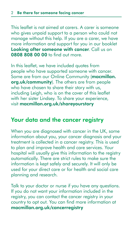This leaflet is not aimed at carers. A carer is someone who gives unpaid support to a person who could not manage without this help. If you are a carer, we have more information and support for you in our booklet Looking after someone with cancer. Call us on 0808 808 00 00 to find out more.

In this leaflet, we have included quotes from people who have supported someone with cancer. Some are from our Online Community (macmillan. ora.uk/community). The others are from people who have chosen to share their story with us, including Leigh, who is on the cover of this leaflet with her sister Lindsey. To share your experience, visit macmillan.org.uk/shareyourstory

### Your data and the cancer registry

When you are diagnosed with cancer in the UK, some information about you, your cancer diagnosis and your treatment is collected in a cancer registry. This is used to plan and improve health and care services. Your hospital will usually give this information to the registry automatically. There are strict rules to make sure the information is kept safely and securely. It will only be used for your direct care or for health and social care planning and research.

Talk to your doctor or nurse if you have any questions. If you do not want your information included in the registry, you can contact the cancer registry in your country to opt out. You can find more information at macmillan.org.uk/cancerregistry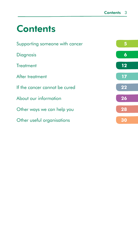# **Contents**

| 5  |
|----|
| 6  |
| 12 |
| 17 |
| 22 |
| 26 |
| 28 |
| 30 |
|    |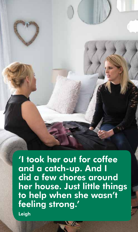'I took her out for coffee and a catch-up. And I did a few chores around her house. Just little things to help when she wasn't feeling strong.' Leigh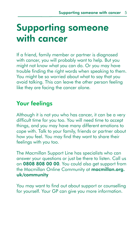# Supporting someone with cancer

If a friend, family member or partner is diagnosed with cancer, you will probably want to help. But you might not know what you can do. Or you may have trouble finding the right words when speaking to them. You might be so worried about what to say that you avoid talking. This can leave the other person feeling like they are facing the cancer alone.

# Your feelings

Although it is not you who has cancer, it can be a very difficult time for you too. You will need time to accept things, and you may have many different emotions to cope with. Talk to your family, friends or partner about how you feel. You may find they want to share their feelings with you too.

The Macmillan Support Line has specialists who can answer your questions or just be there to listen. Call us on 0808 808 00 00. You could also get support from the Macmillan Online Community at **macmillan.org.** uk/community

You may want to find out about support or counselling for yourself. Your GP can give you more information.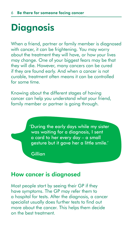# **Diagnosis**

When a friend, partner or family member is diagnosed with cancer, it can be frightening. You may worry about the treatment they will have, or how your lives may change. One of your biggest fears may be that they will die. However, many cancers can be cured if they are found early. And when a cancer is not curable, treatment often means it can be controlled for some time.

Knowing about the different stages of having cancer can help you understand what your friend, family member or partner is going through.

> 'During the early days while my sister was waiting for a diagnosis, I sent a card to her every day – a small gesture but it gave her a little smile.'

**Gillian** 

### How cancer is diagnosed

Most people start by seeing their GP if they have symptoms. The GP may refer them to a hospital for tests. After the diagnosis, a cancer specialist usually does further tests to find out more about the cancer. This helps them decide on the best treatment.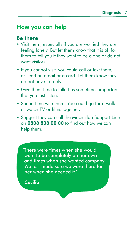### How you can help

### Be there

- Visit them, especially if you are worried they are feeling lonely. But let them know that it is ok for them to tell you if they want to be alone or do not want visitors.
- If you cannot visit, you could call or text them, or send an email or a card. Let them know they do not have to reply.
- Give them time to talk. It is sometimes important that you just listen.
- Spend time with them. You could go for a walk or watch TV or films together.
- Suggest they can call the Macmillan Support Line on 0808 808 00 00 to find out how we can help them.

'There were times when she would want to be completely on her own and times when she wanted company. We just made sure we were there for her when she needed it.'

**Cecilia**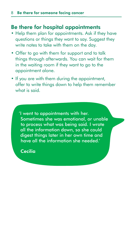#### Be there for hospital appointments

- Help them plan for appointments. Ask if they have questions or things they want to say. Suggest they write notes to take with them on the day.
- Offer to go with them for support and to talk things through afterwards. You can wait for them in the waiting room if they want to go to the appointment alone.
- If you are with them during the appointment, offer to write things down to help them remember what is said.

'I went to appointments with her. Sometimes she was emotional, or unable to process what was being said. I wrote all the information down, so she could digest things later in her own time and have all the information she needed.'

**Cecilia**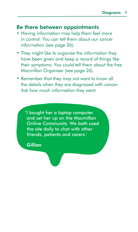#### Be there between appointments

- Having information may help them feel more in control. You can tell them about our cancer information (see page 26).
- They might like to organise the information they have been given and keep a record of things like their symptoms. You could tell them about the free Macmillan Organiser (see page 26).
- Remember that they may not want to know all the details when they are diagnosed with cancer. Ask how much information they want.

'I bought her a laptop computer and set her up on the Macmillan Online Community. We both used the site daily to chat with other friends, patients and carers.'

Gillian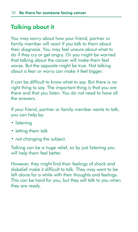# Talking about it

You may worry about how your friend, partner or family member will react if you talk to them about their diagnosis. You may feel unsure about what to do if they cry or get angry. Or you might be worried that talking about the cancer will make them feel worse. But the opposite might be true. Not talking about a fear or worry can make it feel bigger.

It can be difficult to know what to say. But there is no right thing to say. The important thing is that you are there and that you listen. You do not need to have all the answers.

If your friend, partner or family member wants to talk, you can help by:

- listening
- letting them talk
- not changing the subject.

Talking can be a huge relief, so by just listening you will help them feel better.

However, they might find their feelings of shock and disbelief make it difficult to talk. They may want to be left alone for a while with their thoughts and feelings. This can be hard for you, but they will talk to you when they are ready.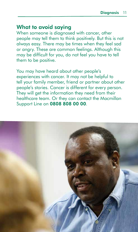#### What to avoid saying

When someone is diagnosed with cancer, other people may tell them to think positively. But this is not always easy. There may be times when they feel sad or angry. These are common feelings. Although this may be difficult for you, do not feel you have to tell them to be positive.

You may have heard about other people's experiences with cancer. It may not be helpful to tell your family member, friend or partner about other people's stories. Cancer is different for every person. They will get the information they need from their healthcare team. Or they can contact the Macmillan Support Line on 0808 808 00 00.

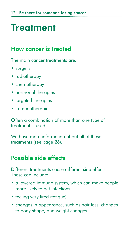# **Treatment**

# How cancer is treated

The main cancer treatments are:

- surgery
- radiotherapy
- chemotherapy
- hormonal therapies
- targeted therapies
- immunotherapies.

Often a combination of more than one type of treatment is used.

We have more information about all of these treatments (see page 26).

# Possible side effects

Different treatments cause different side effects. These can include:

- a lowered immune system, which can make people more likely to get infections
- feeling very tired (fatigue)
- changes in appearance, such as hair loss, changes to body shape, and weight changes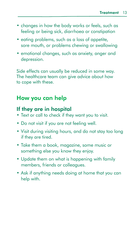- changes in how the body works or feels, such as feeling or being sick, diarrhoea or constipation
- eating problems, such as a loss of appetite, sore mouth, or problems chewing or swallowing
- emotional changes, such as anxiety, anger and depression.

Side effects can usually be reduced in some way. The healthcare team can give advice about how to cope with these.

#### How you can help

#### If they are in hospital

- Text or call to check if they want you to visit.
- Do not visit if you are not feeling well.
- Visit during visiting hours, and do not stay too long if they are tired.
- Take them a book, magazine, some music or something else you know they enjoy.
- Update them on what is happening with family members, friends or colleagues.
- Ask if anything needs doing at home that you can help with.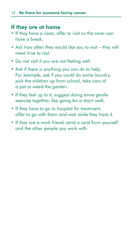#### If they are at home

- If they have a carer, offer to visit so the carer can have a break.
- Ask how often they would like you to visit they will need time to rest.
- Do not visit if you are not feeling well.
- Ask if there is anything you can do to help. For example, ask if you could do some laundry, pick the children up from school, take care of a pet or weed the garden.
- If they feel up to it, suggest doing some gentle exercise together, like going for a short walk.
- If they have to go to hospital for treatment, offer to go with them and wait while they have it.
- If they are a work friend, send a card from yourself and the other people you work with.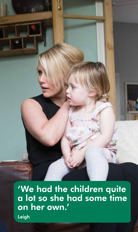'We had the children quite a lot so she had some time on her own.' Leigh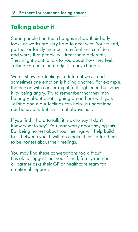### Talking about it

Some people find that changes in how their body looks or works are very hard to deal with. Your friend, partner or family member may feel less confident, and worry that people will treat them differently. They might want to talk to you about how they feel. Talking can help them adjust to any changes.

We all show our feelings in different ways, and sometimes one emotion is hiding another. For example, the person with cancer might feel frightened but show it by being angry. Try to remember that they may be angry about what is going on and not with you. Talking about our feelings can help us understand our behaviour. But this is not always easy.

If you find it hard to talk, it is ok to say 'I don't know what to say'. You may worry about saying this. But being honest about your feelings will help build trust between you. It will also make it easier for them to be honest about their feelings.

You may find these conversations too difficult. It is ok to suggest that your friend, family member or partner asks their GP or healthcare team for emotional support.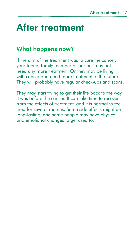# After treatment

# What happens now?

If the aim of the treatment was to cure the cancer, your friend, family member or partner may not need any more treatment. Or they may be living with cancer and need more treatment in the future. They will probably have regular check-ups and scans.

They may start trying to get their life back to the way it was before the cancer. It can take time to recover from the effects of treatment, and it is normal to feel tired for several months. Some side effects might be long-lasting, and some people may have physical and emotional changes to get used to.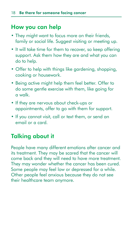# How you can help

- They might want to focus more on their friends, family or social life. Suggest visiting or meeting up.
- It will take time for them to recover, so keep offering support. Ask them how they are and what you can do to help.
- Offer to help with things like gardening, shopping, cooking or housework.
- Being active might help them feel better. Offer to do some gentle exercise with them, like going for a walk.
- If they are nervous about check-ups or appointments, offer to go with them for support.
- If you cannot visit, call or text them, or send an email or a card.

# Talking about it

People have many different emotions after cancer and its treatment. They may be scared that the cancer will come back and they will need to have more treatment. They may wonder whether the cancer has been cured. Some people may feel low or depressed for a while. Other people feel anxious because they do not see their healthcare team anymore.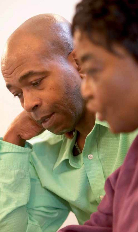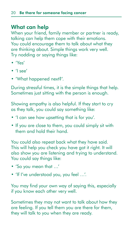#### What can help

When your friend, family member or partner is ready, talking can help them cope with their emotions. You could encourage them to talk about what they are thinking about. Simple things work very well. Try nodding or saying things like:

- 'Yes'
- 'I see'
- 'What happened next?'.

During stressful times, it is the simple things that help. Sometimes just sitting with the person is enough.

Showing empathy is also helpful. If they start to cry as they talk, you could say something like:

- 'I can see how upsetting that is for you'.
- If you are close to them, you could simply sit with them and hold their hand.

You could also repeat back what they have said. This will help you check you have got it right. It will also show you are listening and trying to understand. You could say things like:

- 'So you mean that …'
- 'If I've understood you, you feel …'.

You may find your own way of saying this, especially if you know each other very well.

Sometimes they may not want to talk about how they are feeling. If you tell them you are there for them, they will talk to you when they are ready.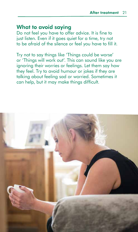#### What to avoid saying

Do not feel you have to offer advice. It is fine to just listen. Even if it goes quiet for a time, try not to be afraid of the silence or feel you have to fill it.

Try not to say things like 'Things could be worse' or 'Things will work out'. This can sound like you are ignoring their worries or feelings. Let them say how they feel. Try to avoid humour or jokes if they are talking about feeling sad or worried. Sometimes it can help, but it may make things difficult.

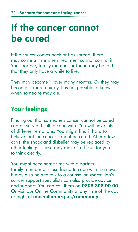# If the cancer cannot be cured

If the cancer comes back or has spread, there may come a time when treatment cannot control it. Your partner, family member or friend may be told that they only have a while to live.

They may become ill over many months. Or they may become ill more quickly. It is not possible to know when someone may die.

# Your feelings

Finding out that someone's cancer cannot be cured can be very difficult to cope with. You will have lots of different emotions. You might find it hard to believe that the cancer cannot be cured. After a few days, the shock and disbelief may be replaced by other feelings. These may make it difficult for you to think clearly.

You might need some time with a partner, family member or close friend to cope with the news. It may also help to talk to a counsellor. Macmillan's cancer support specialists can also provide advice and support. You can call them on 0808 808 00 00. Or visit our Online Community at any time of the day or night at macmillan.org.uk/community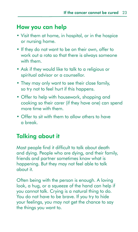#### How you can help

- Visit them at home, in hospital, or in the hospice or nursing home.
- If they do not want to be on their own, offer to work out a rota so that there is always someone with them.
- Ask if they would like to talk to a religious or spiritual advisor or a counsellor.
- They may only want to see their close family, so try not to feel hurt if this happens.
- Offer to help with housework, shopping and cooking so their carer (if they have one) can spend more time with them.
- Offer to sit with them to allow others to have a break.

### Talking about it

Most people find it difficult to talk about death and dying. People who are dying, and their family, friends and partner sometimes know what is happening. But they may not feel able to talk about it.

Often being with the person is enough. A loving look, a hug, or a squeeze of the hand can help if you cannot talk. Crying is a natural thing to do. You do not have to be brave. If you try to hide your feelings, you may not get the chance to say the things you want to.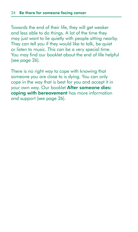Towards the end of their life, they will get weaker and less able to do things. A lot of the time they may just want to lie quietly with people sitting nearby. They can tell you if they would like to talk, be quiet or listen to music. This can be a very special time. You may find our booklet about the end of life helpful (see page 26).

There is no right way to cope with knowing that someone you are close to is dying. You can only cope in the way that is best for you and accept it in your own way. Our booklet After someone dies: coping with bereavement has more information and support (see page 26).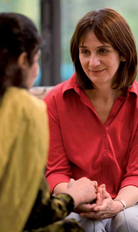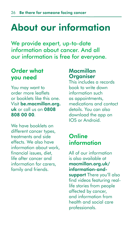# About our information

We provide expert, up-to-date information about cancer. And all our information is free for everyone.

# Order what you need

You may want to order more leaflets or booklets like this one. Visit be.macmillan.org. uk or call us on 0808 808 00 00.

We have booklets on different cancer types, treatments and side effects. We also have information about work, financial issues, diet, life after cancer and information for carers, family and friends.

#### Macmillan **Organiser**

This includes a records book to write down information such as appointments, medications and contact details. You can also download the app on IOS or Android.

# **Online** information

All of our information is also available at macmillan.org.uk/ information-andsupport There you'll also find videos featuring reallife stories from people affected by cancer, and information from health and social care professionals.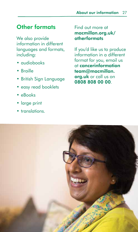# Other formats

We also provide information in different languages and formats, including:

- audiobooks
- Braille
- British Sign Language
- easy read booklets
- eBooks
- large print
- translations.

#### Find out more at macmillan.org.uk/ otherformats

If you'd like us to produce information in a different format for you, email us at cancerinformation team@macmillan. org.uk or call us on 0808 808 00 00.

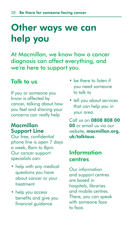# Other ways we can help you

At Macmillan, we know how a cancer diagnosis can affect everything, and we're here to support you.

# Talk to us

If you or someone you know is affected by cancer, talking about how you feel and sharing your concerns can really help

#### Macmillan Support Line

Our free, confidential phone line is open 7 days a week, 8am to 8pm. Our cancer support specialists can:

- help with any medical questions you have about cancer or your treatment
- help you access benefits and give you financial guidance
- be there to listen if you need someone to talk to
- tell you about services that can help you in your area.

Call us on 0808 808 00 00 or email us via our website, macmillan.org. uk/talktous

### **Information** centres

Our information and support centres are based in hospitals, libraries and mobile centres. There, you can speak with someone face to face.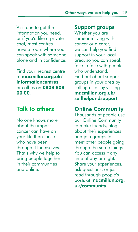Visit one to get the information you need, or if you'd like a private chat, most centres have a room where you can speak with someone alone and in confidence.

Find your nearest centre at macmillan.org.uk/ informationcentres or call us on 0808 808 00 00.

#### Talk to others

No one knows more about the impact cancer can have on your life than those who have been through it themselves. That's why we help to bring people together in their communities and online.

#### Support groups

Whether you are someone living with cancer or a carer, we can help you find support in your local area, so you can speak face to face with people who understand. Find out about support groups in your area by calling us or by visiting macmillan.org.uk/ selfhelpandsupport

#### Online Community

Thousands of people use our Online Community to make friends, blog about their experiences and join groups to meet other people going through the same things. You can access it any time of day or night. Share your experiences, ask questions, or just read through people's posts at macmillan.org. uk/community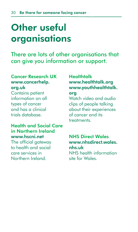# Other useful organisations

There are lots of other organisations that can give you information or support.

#### Cancer Research UK www.cancerhelp. org.uk

Contains patient information on all types of cancer and has a clinical trials database.

#### Health and Social Care in Northern Ireland www.hscni.net

The official gateway to health and social care services in Northern Ireland.

#### Healthtalk www.healthtalk.org www.youthhealthtalk. org

Watch video and audio clips of people talking about their experiences of cancer and its treatments.

#### NHS Direct Wales www.nhsdirect.wales. nhs.uk

NHS health information site for Wales.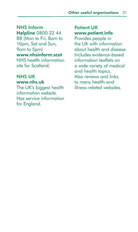#### NHS Inform

Helpline 0800 22 44 88 (Mon to Fri, 8am to 10pm, Sat and Sun, 9am to 5pm) www.nhsinform.scot NHS health information site for Scotland.

#### NHS UK www.nhs.uk

The UK's biggest health information website. Has service information for England.

#### Patient UK www.patient.info

Provides people in the UK with information about health and disease. Includes evidence-based information leaflets on a wide variety of medical and health topics. Also reviews and links to many health-and illness-related websites.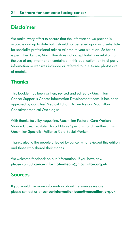#### Disclaimer

We make every effort to ensure that the information we provide is accurate and up to date but it should not be relied upon as a substitute for specialist professional advice tailored to your situation. So far as is permitted by law, Macmillan does not accept liability in relation to the use of any information contained in this publication, or third-party information or websites included or referred to in it. Some photos are of models.

### Thanks

This booklet has been written, revised and edited by Macmillan Cancer Support's Cancer Information Development team. It has been approved by our Chief Medical Editor, Dr Tim Iveson, Macmillan Consultant Medical Oncologist.

With thanks to: Jilby Augustine, Macmillan Pastoral Care Worker; Sharon Clovis, Prostate Clinical Nurse Specialist; and Heather Jinks, Macmillan Specialist Palliative Care Social Worker.

Thanks also to the people affected by cancer who reviewed this edition, and those who shared their stories.

We welcome feedback on our information. If you have any, please contact cancerinformationteam@macmillan.org.uk

#### Sources

If you would like more information about the sources we use, please contact us at cancerinformationteam@macmillan.org.uk